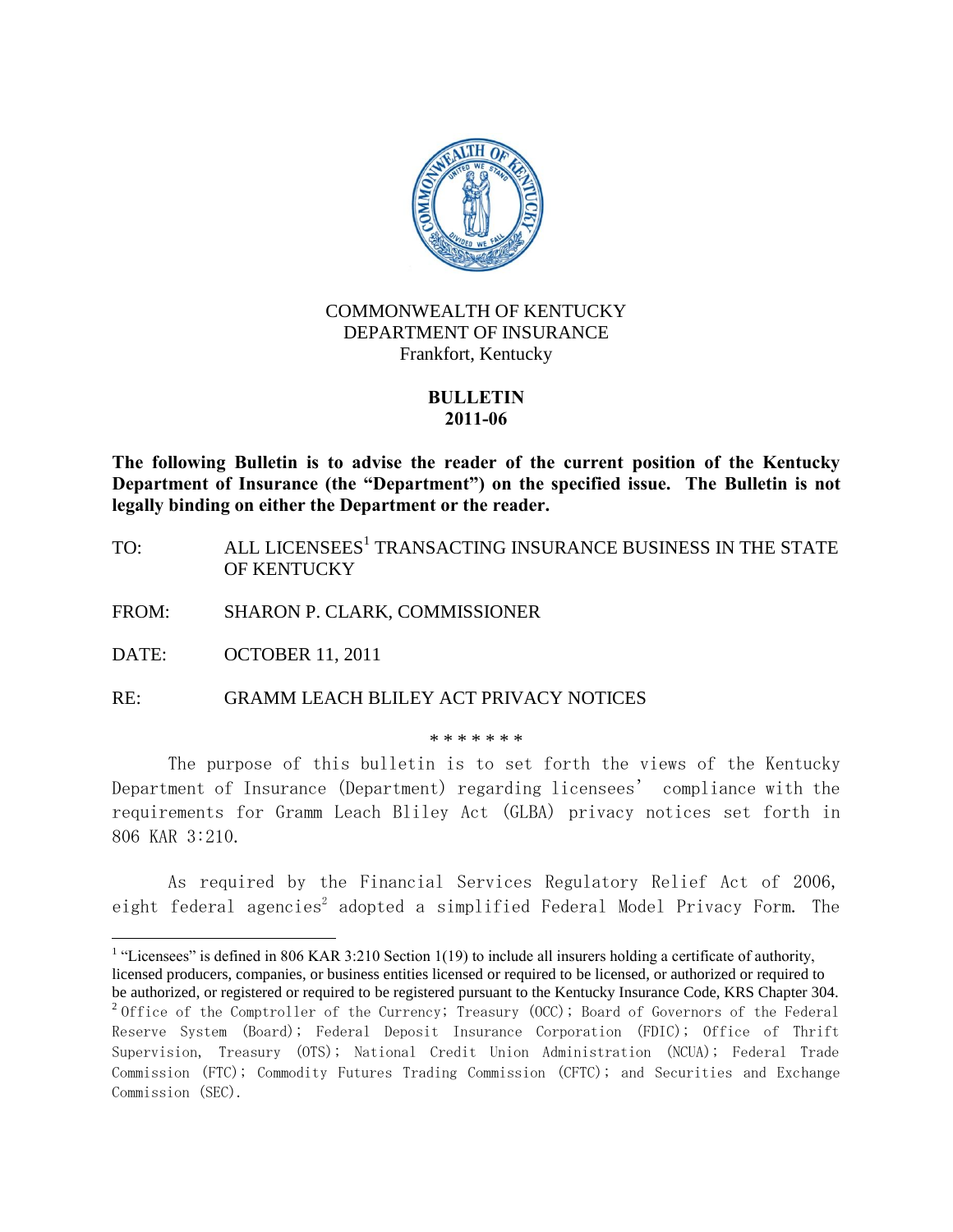

# COMMONWEALTH OF KENTUCKY DEPARTMENT OF INSURANCE Frankfort, Kentucky

# **BULLETIN 2011-06**

**The following Bulletin is to advise the reader of the current position of the Kentucky Department of Insurance (the "Department") on the specified issue. The Bulletin is not legally binding on either the Department or the reader.**

- TO: ALL LICENSEES<sup>1</sup> TRANSACTING INSURANCE BUSINESS IN THE STATE OF KENTUCKY
- FROM: SHARON P. CLARK, COMMISSIONER

DATE: OCTOBER 11, 2011

RE: GRAMM LEACH BLILEY ACT PRIVACY NOTICES

\* \* \* \* \* \* \*

The purpose of this bulletin is to set forth the views of the Kentucky Department of Insurance (Department) regarding licensees' compliance with the requirements for Gramm Leach Bliley Act (GLBA) privacy notices set forth in 806 KAR 3:210.

As required by the Financial Services Regulatory Relief Act of 2006, eight federal agencies $^2$  adopted a simplified Federal Model Privacy Form. The

 $\overline{a}$ <sup>1</sup> "Licensees" is defined in 806 KAR 3:210 Section 1(19) to include all insurers holding a certificate of authority, licensed producers, companies, or business entities licensed or required to be licensed, or authorized or required to be authorized, or registered or required to be registered pursuant to the Kentucky Insurance Code, KRS Chapter 304.  $^2$ Office of the Comptroller of the Currency; Treasury (OCC); Board of Governors of the Federal Reserve System (Board); Federal Deposit Insurance Corporation (FDIC); Office of Thrift

Supervision, Treasury (OTS); National Credit Union Administration (NCUA); Federal Trade Commission (FTC); Commodity Futures Trading Commission (CFTC); and Securities and Exchange Commission (SEC).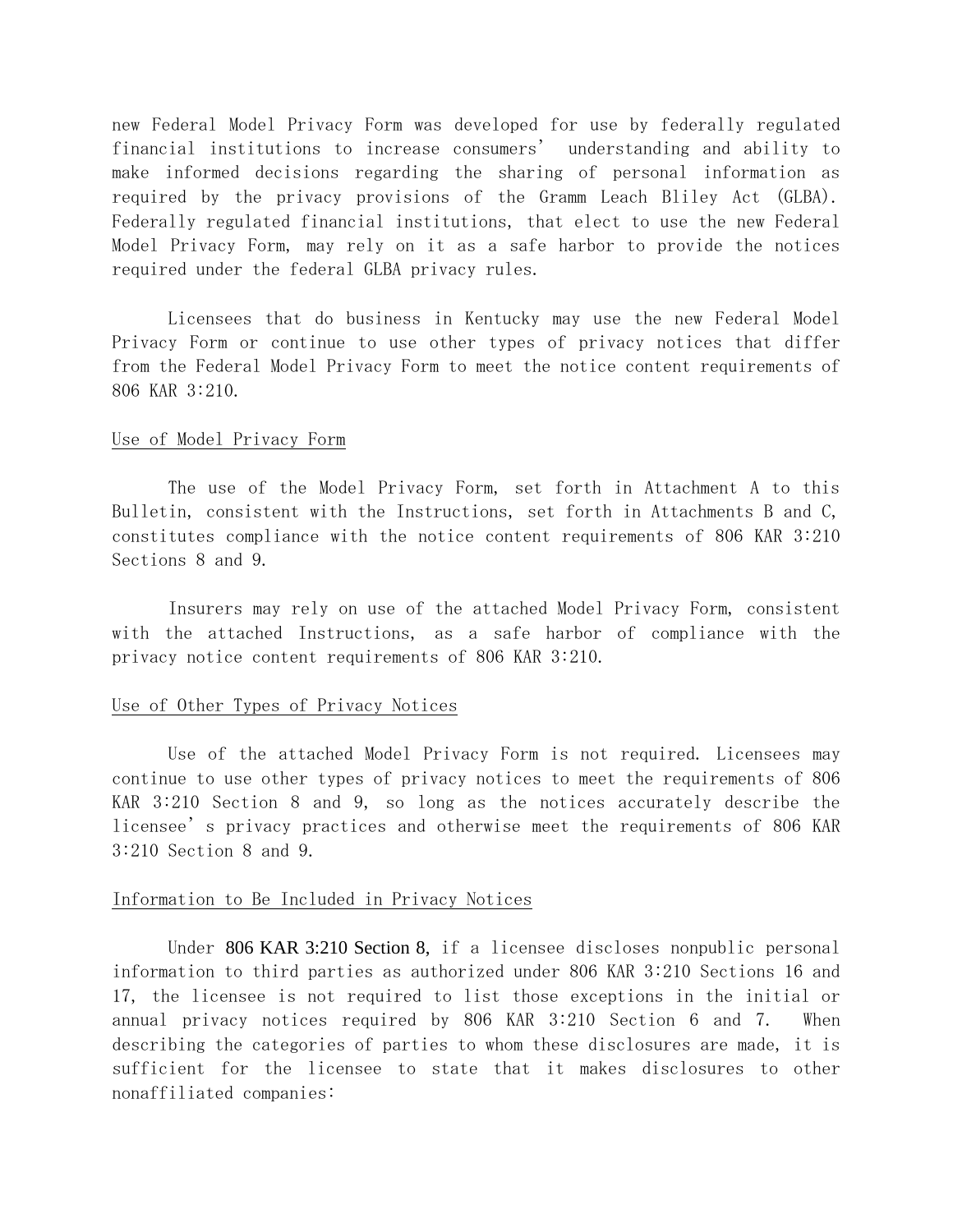new Federal Model Privacy Form was developed for use by federally regulated financial institutions to increase consumers' understanding and ability to make informed decisions regarding the sharing of personal information as required by the privacy provisions of the Gramm Leach Bliley Act (GLBA). Federally regulated financial institutions, that elect to use the new Federal Model Privacy Form, may rely on it as a safe harbor to provide the notices required under the federal GLBA privacy rules.

Licensees that do business in Kentucky may use the new Federal Model Privacy Form or continue to use other types of privacy notices that differ from the Federal Model Privacy Form to meet the notice content requirements of 806 KAR 3:210.

#### Use of Model Privacy Form

The use of the Model Privacy Form, set forth in Attachment A to this Bulletin, consistent with the Instructions, set forth in Attachments B and C, constitutes compliance with the notice content requirements of 806 KAR 3:210 Sections 8 and 9.

Insurers may rely on use of the attached Model Privacy Form, consistent with the attached Instructions, as a safe harbor of compliance with the privacy notice content requirements of 806 KAR 3:210.

#### Use of Other Types of Privacy Notices

Use of the attached Model Privacy Form is not required. Licensees may continue to use other types of privacy notices to meet the requirements of 806 KAR 3:210 Section 8 and 9, so long as the notices accurately describe the licensee's privacy practices and otherwise meet the requirements of 806 KAR 3:210 Section 8 and 9.

#### Information to Be Included in Privacy Notices

Under 806 KAR 3:210 Section 8, if a licensee discloses nonpublic personal information to third parties as authorized under 806 KAR 3:210 Sections 16 and 17, the licensee is not required to list those exceptions in the initial or annual privacy notices required by 806 KAR 3:210 Section 6 and 7. When describing the categories of parties to whom these disclosures are made, it is sufficient for the licensee to state that it makes disclosures to other nonaffiliated companies: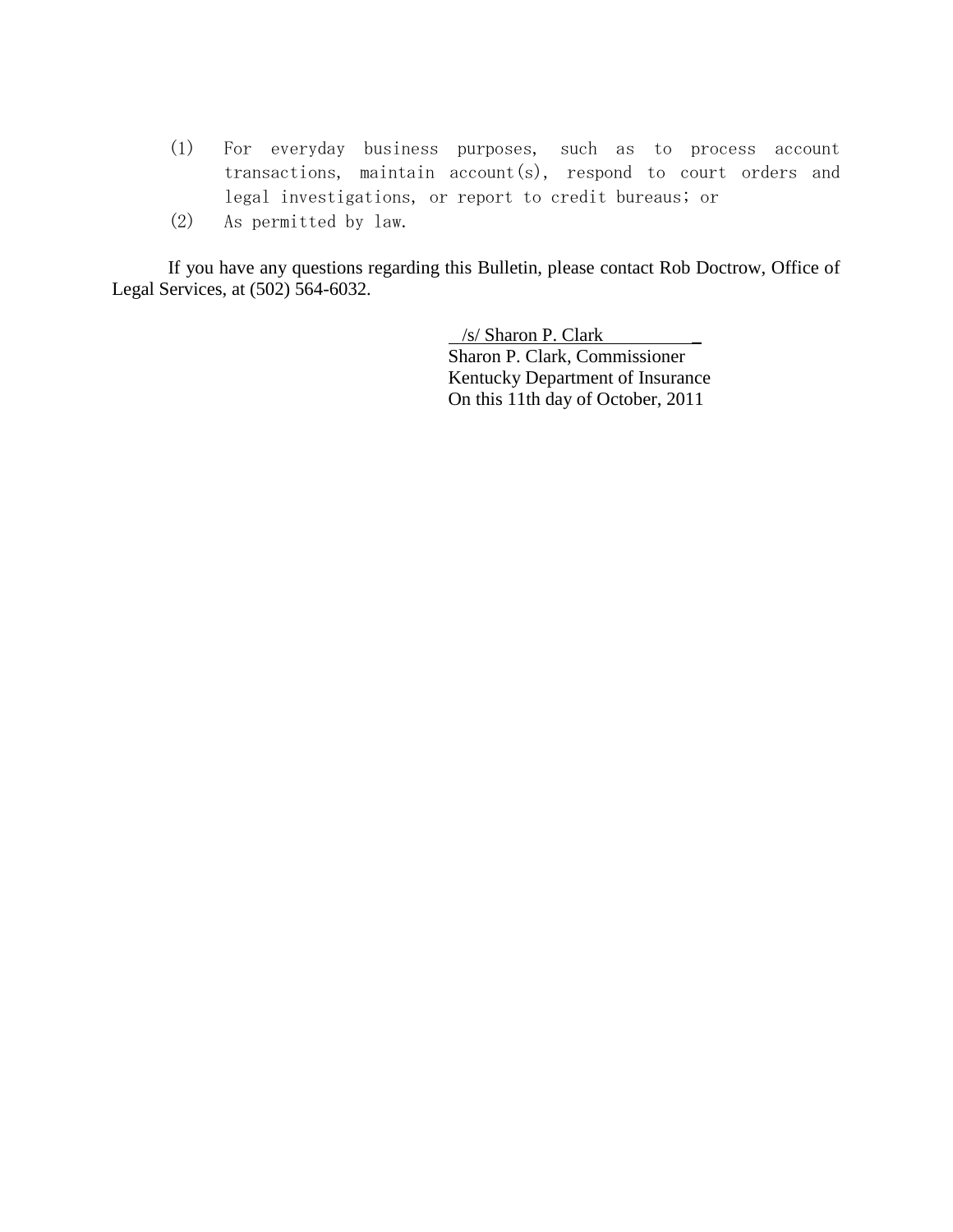- (1) For everyday business purposes, such as to process account transactions, maintain account(s), respond to court orders and legal investigations, or report to credit bureaus; or
- (2) As permitted by law.

If you have any questions regarding this Bulletin, please contact Rob Doctrow, Office of Legal Services, at (502) 564-6032.

> /s/ Sharon P. Clark \_ Sharon P. Clark, Commissioner Kentucky Department of Insurance On this 11th day of October, 2011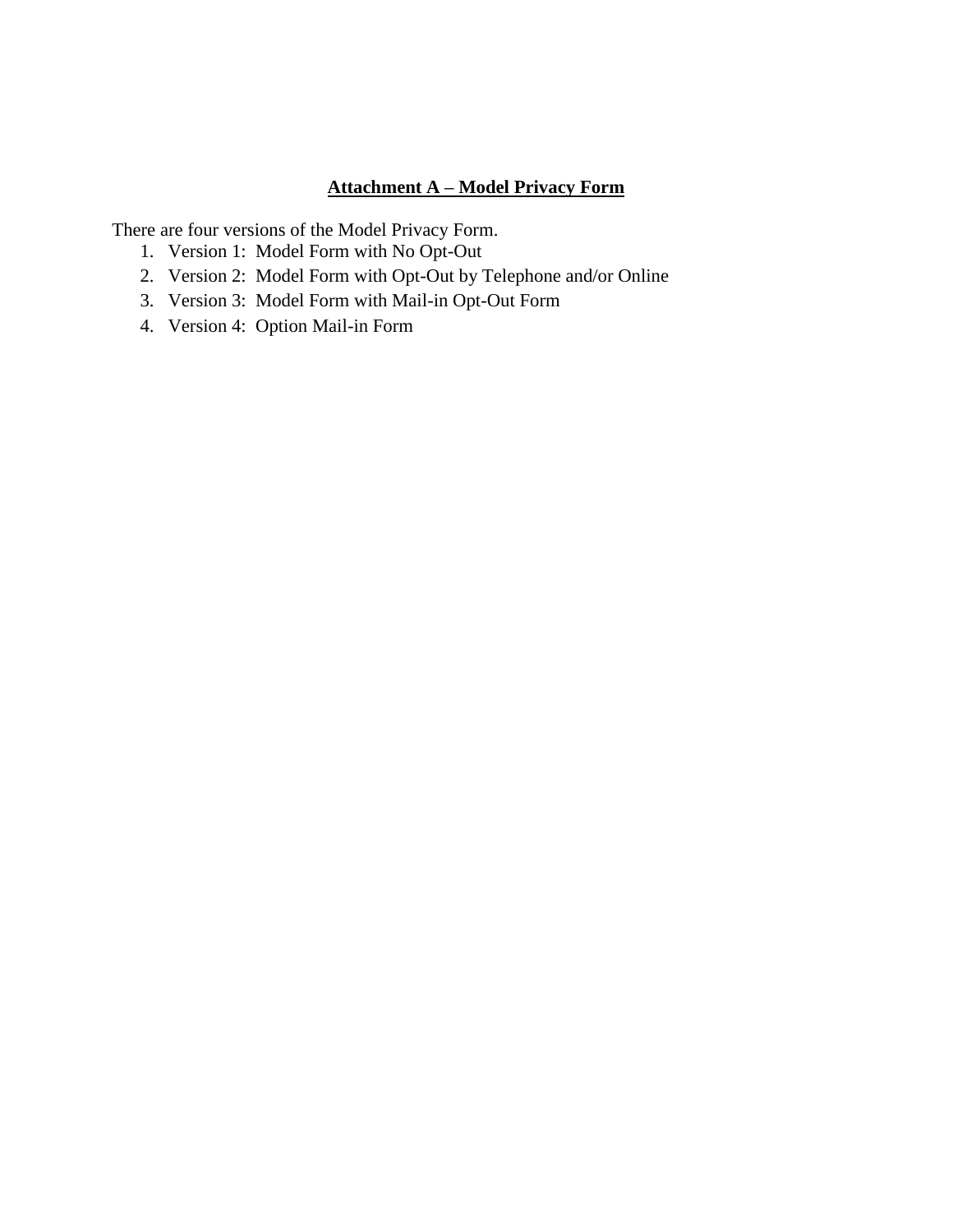# **Attachment A – Model Privacy Form**

There are four versions of the Model Privacy Form.

- 1. Version 1: Model Form with No Opt-Out
- 2. Version 2: Model Form with Opt-Out by Telephone and/or Online
- 3. Version 3: Model Form with Mail-in Opt-Out Form
- 4. Version 4: Option Mail-in Form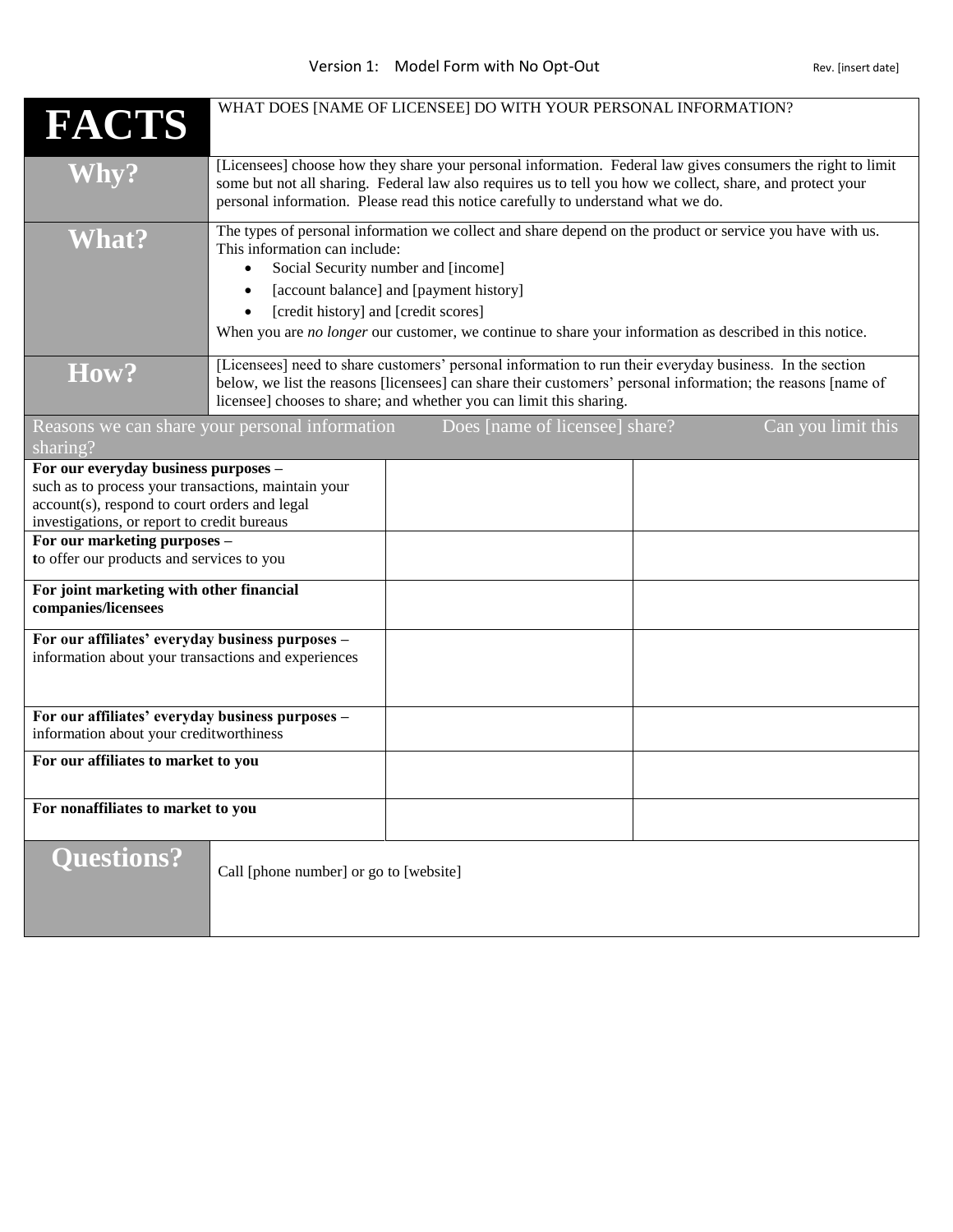| <b>FACTS</b>                                                                                                                                                                                                                                                             | WHAT DOES [NAME OF LICENSEE] DO WITH YOUR PERSONAL INFORMATION?                                                                                                                                                                                                                                                                                                                              |  |
|--------------------------------------------------------------------------------------------------------------------------------------------------------------------------------------------------------------------------------------------------------------------------|----------------------------------------------------------------------------------------------------------------------------------------------------------------------------------------------------------------------------------------------------------------------------------------------------------------------------------------------------------------------------------------------|--|
| <b>Why?</b>                                                                                                                                                                                                                                                              | [Licensees] choose how they share your personal information. Federal law gives consumers the right to limit<br>some but not all sharing. Federal law also requires us to tell you how we collect, share, and protect your<br>personal information. Please read this notice carefully to understand what we do.                                                                               |  |
| <b>What?</b>                                                                                                                                                                                                                                                             | The types of personal information we collect and share depend on the product or service you have with us.<br>This information can include:<br>Social Security number and [income]<br>$\bullet$<br>[account balance] and [payment history]<br>[credit history] and [credit scores]<br>When you are no longer our customer, we continue to share your information as described in this notice. |  |
| How?                                                                                                                                                                                                                                                                     | [Licensees] need to share customers' personal information to run their everyday business. In the section<br>below, we list the reasons [licensees] can share their customers' personal information; the reasons [name of<br>licensee] chooses to share; and whether you can limit this sharing.                                                                                              |  |
| sharing?                                                                                                                                                                                                                                                                 | Does [name of licensee] share?<br>Can you limit this<br>Reasons we can share your personal information                                                                                                                                                                                                                                                                                       |  |
| For our everyday business purposes -<br>such as to process your transactions, maintain your<br>account(s), respond to court orders and legal<br>investigations, or report to credit bureaus<br>For our marketing purposes -<br>to offer our products and services to you |                                                                                                                                                                                                                                                                                                                                                                                              |  |
| For joint marketing with other financial<br>companies/licensees                                                                                                                                                                                                          |                                                                                                                                                                                                                                                                                                                                                                                              |  |
| For our affiliates' everyday business purposes -<br>information about your transactions and experiences                                                                                                                                                                  |                                                                                                                                                                                                                                                                                                                                                                                              |  |
| For our affiliates' everyday business purposes -<br>information about your creditworthiness                                                                                                                                                                              |                                                                                                                                                                                                                                                                                                                                                                                              |  |
| For our affiliates to market to you                                                                                                                                                                                                                                      |                                                                                                                                                                                                                                                                                                                                                                                              |  |
| For nonaffiliates to market to you                                                                                                                                                                                                                                       |                                                                                                                                                                                                                                                                                                                                                                                              |  |
| <b>Questions?</b>                                                                                                                                                                                                                                                        | Call [phone number] or go to [website]                                                                                                                                                                                                                                                                                                                                                       |  |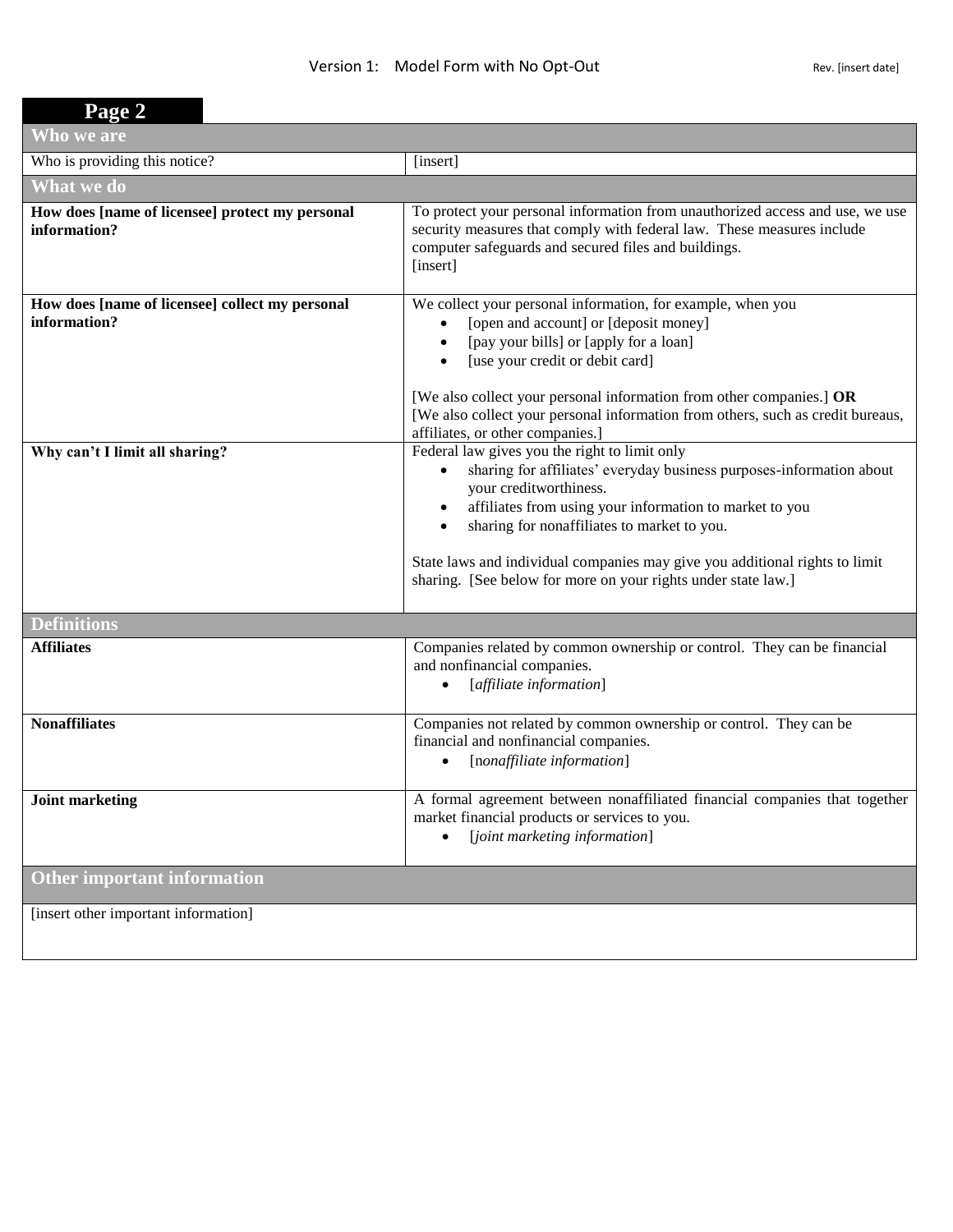| Page 2                                                          |                                                                                                                                                                                                                                                                                                                                                                                                                         |
|-----------------------------------------------------------------|-------------------------------------------------------------------------------------------------------------------------------------------------------------------------------------------------------------------------------------------------------------------------------------------------------------------------------------------------------------------------------------------------------------------------|
| Who we are                                                      |                                                                                                                                                                                                                                                                                                                                                                                                                         |
| Who is providing this notice?                                   | [insert]                                                                                                                                                                                                                                                                                                                                                                                                                |
| What we do                                                      |                                                                                                                                                                                                                                                                                                                                                                                                                         |
| How does [name of licensee] protect my personal<br>information? | To protect your personal information from unauthorized access and use, we use<br>security measures that comply with federal law. These measures include<br>computer safeguards and secured files and buildings.<br>[insert]                                                                                                                                                                                             |
| How does [name of licensee] collect my personal<br>information? | We collect your personal information, for example, when you<br>[open and account] or [deposit money]<br>$\bullet$<br>[pay your bills] or [apply for a loan]<br>$\bullet$<br>[use your credit or debit card]<br>$\bullet$<br>[We also collect your personal information from other companies.] OR<br>[We also collect your personal information from others, such as credit bureaus,<br>affiliates, or other companies.] |
| Why can't I limit all sharing?                                  | Federal law gives you the right to limit only<br>sharing for affiliates' everyday business purposes-information about<br>your creditworthiness.<br>affiliates from using your information to market to you<br>$\bullet$<br>sharing for nonaffiliates to market to you.<br>State laws and individual companies may give you additional rights to limit<br>sharing. [See below for more on your rights under state law.]  |
| <b>Definitions</b>                                              |                                                                                                                                                                                                                                                                                                                                                                                                                         |
| <b>Affiliates</b>                                               | Companies related by common ownership or control. They can be financial<br>and nonfinancial companies.<br>[affiliate information]                                                                                                                                                                                                                                                                                       |
| <b>Nonaffiliates</b>                                            | Companies not related by common ownership or control. They can be<br>financial and nonfinancial companies.<br>[nonaffiliate information]<br>$\bullet$                                                                                                                                                                                                                                                                   |
| <b>Joint marketing</b>                                          | A formal agreement between nonaffiliated financial companies that together<br>market financial products or services to you.<br>[joint marketing information]<br>$\bullet$                                                                                                                                                                                                                                               |
| <b>Other important information</b>                              |                                                                                                                                                                                                                                                                                                                                                                                                                         |
| [insert other important information]                            |                                                                                                                                                                                                                                                                                                                                                                                                                         |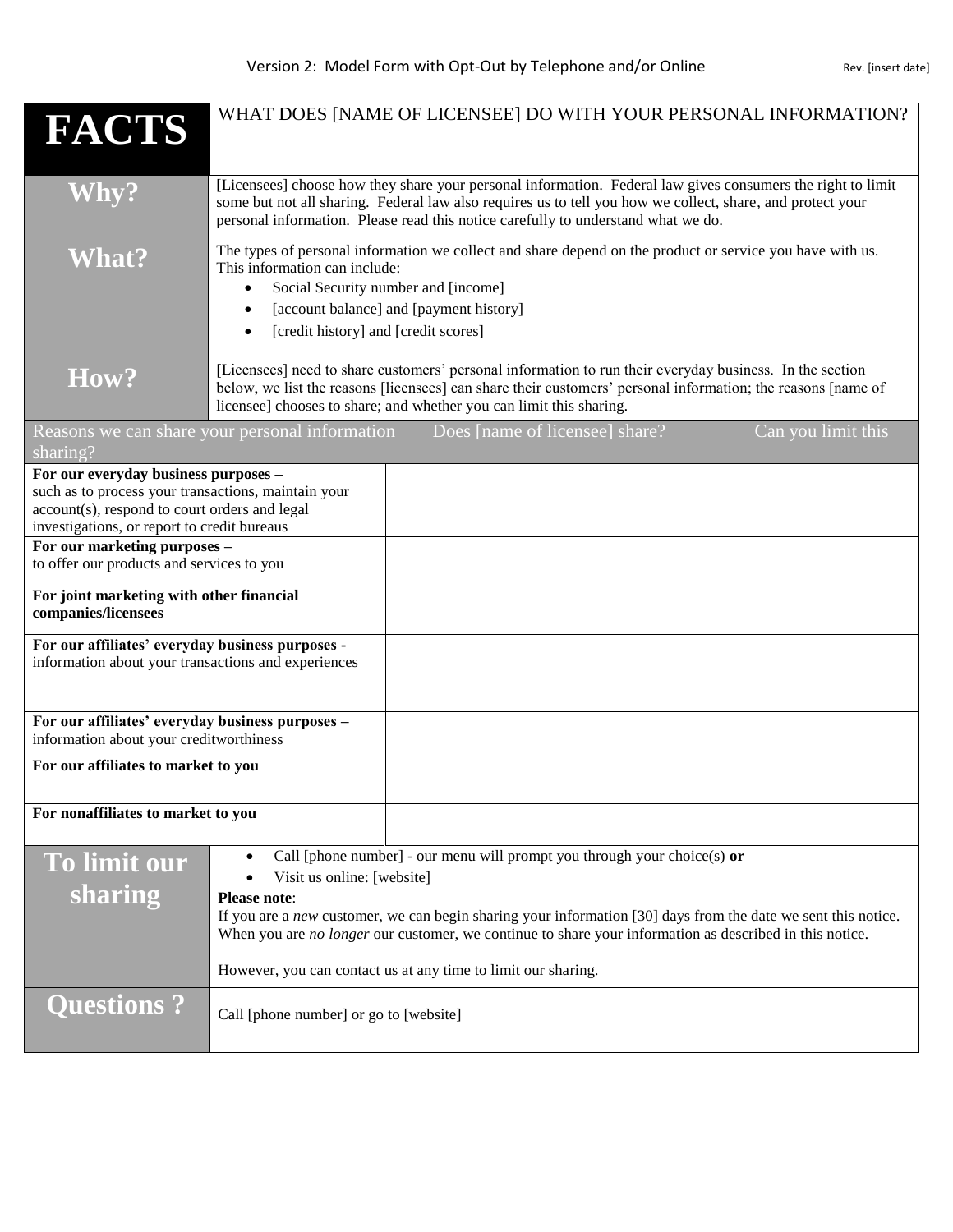| <b>FACTS</b>                                                                                                                                                                                                                                                             | WHAT DOES [NAME OF LICENSEE] DO WITH YOUR PERSONAL INFORMATION?                                                                                                                                                                                                                                                                                                                                                                         |  |
|--------------------------------------------------------------------------------------------------------------------------------------------------------------------------------------------------------------------------------------------------------------------------|-----------------------------------------------------------------------------------------------------------------------------------------------------------------------------------------------------------------------------------------------------------------------------------------------------------------------------------------------------------------------------------------------------------------------------------------|--|
| <b>Why?</b>                                                                                                                                                                                                                                                              | [Licensees] choose how they share your personal information. Federal law gives consumers the right to limit<br>some but not all sharing. Federal law also requires us to tell you how we collect, share, and protect your<br>personal information. Please read this notice carefully to understand what we do.                                                                                                                          |  |
| <b>What?</b>                                                                                                                                                                                                                                                             | The types of personal information we collect and share depend on the product or service you have with us.<br>This information can include:<br>Social Security number and [income]<br>$\bullet$<br>[account balance] and [payment history]<br>[credit history] and [credit scores]                                                                                                                                                       |  |
| How?                                                                                                                                                                                                                                                                     | [Licensees] need to share customers' personal information to run their everyday business. In the section<br>below, we list the reasons [licensees] can share their customers' personal information; the reasons [name of<br>licensee] chooses to share; and whether you can limit this sharing.                                                                                                                                         |  |
| sharing?                                                                                                                                                                                                                                                                 | Does [name of licensee] share?<br>Can you limit this<br>Reasons we can share your personal information                                                                                                                                                                                                                                                                                                                                  |  |
| For our everyday business purposes -<br>such as to process your transactions, maintain your<br>account(s), respond to court orders and legal<br>investigations, or report to credit bureaus<br>For our marketing purposes -<br>to offer our products and services to you |                                                                                                                                                                                                                                                                                                                                                                                                                                         |  |
| For joint marketing with other financial<br>companies/licensees                                                                                                                                                                                                          |                                                                                                                                                                                                                                                                                                                                                                                                                                         |  |
| For our affiliates' everyday business purposes -<br>information about your transactions and experiences                                                                                                                                                                  |                                                                                                                                                                                                                                                                                                                                                                                                                                         |  |
| For our affiliates' everyday business purposes -<br>information about your creditworthiness                                                                                                                                                                              |                                                                                                                                                                                                                                                                                                                                                                                                                                         |  |
| For our affiliates to market to you                                                                                                                                                                                                                                      |                                                                                                                                                                                                                                                                                                                                                                                                                                         |  |
| For nonaffiliates to market to you                                                                                                                                                                                                                                       |                                                                                                                                                                                                                                                                                                                                                                                                                                         |  |
| To limit our<br>sharing                                                                                                                                                                                                                                                  | Call [phone number] - our menu will prompt you through your choice(s) or<br>$\bullet$<br>Visit us online: [website]<br><b>Please note:</b><br>If you are a new customer, we can begin sharing your information [30] days from the date we sent this notice.<br>When you are no longer our customer, we continue to share your information as described in this notice.<br>However, you can contact us at any time to limit our sharing. |  |
| <b>Questions?</b>                                                                                                                                                                                                                                                        | Call [phone number] or go to [website]                                                                                                                                                                                                                                                                                                                                                                                                  |  |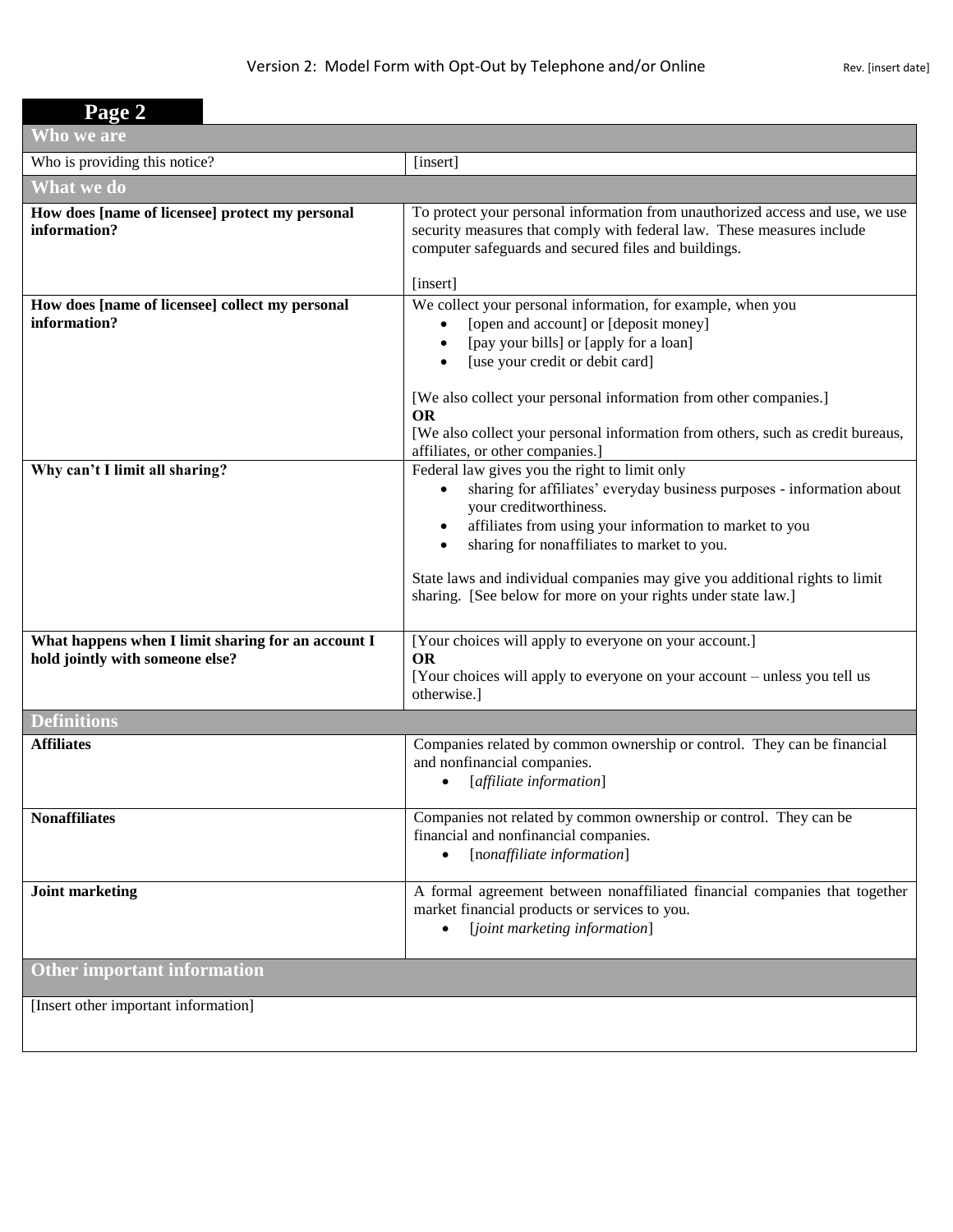| Page 2                                                                                |                                                                                                                                                                                                                                                                                                                                                                                                                                       |
|---------------------------------------------------------------------------------------|---------------------------------------------------------------------------------------------------------------------------------------------------------------------------------------------------------------------------------------------------------------------------------------------------------------------------------------------------------------------------------------------------------------------------------------|
| Who we are                                                                            |                                                                                                                                                                                                                                                                                                                                                                                                                                       |
| Who is providing this notice?                                                         | [insert]                                                                                                                                                                                                                                                                                                                                                                                                                              |
| What we do                                                                            |                                                                                                                                                                                                                                                                                                                                                                                                                                       |
| How does [name of licensee] protect my personal<br>information?                       | To protect your personal information from unauthorized access and use, we use<br>security measures that comply with federal law. These measures include<br>computer safeguards and secured files and buildings.<br>[insert]                                                                                                                                                                                                           |
| How does [name of licensee] collect my personal<br>information?                       | We collect your personal information, for example, when you<br>[open and account] or [deposit money]<br>[pay your bills] or [apply for a loan]<br>[use your credit or debit card]<br>[We also collect your personal information from other companies.]<br><b>OR</b><br>[We also collect your personal information from others, such as credit bureaus,<br>affiliates, or other companies.]                                            |
| Why can't I limit all sharing?                                                        | Federal law gives you the right to limit only<br>sharing for affiliates' everyday business purposes - information about<br>$\bullet$<br>your creditworthiness.<br>affiliates from using your information to market to you<br>sharing for nonaffiliates to market to you.<br>$\bullet$<br>State laws and individual companies may give you additional rights to limit<br>sharing. [See below for more on your rights under state law.] |
| What happens when I limit sharing for an account I<br>hold jointly with someone else? | [Your choices will apply to everyone on your account.]<br><b>OR</b><br>[Your choices will apply to everyone on your account – unless you tell us<br>otherwise.]                                                                                                                                                                                                                                                                       |
| <b>Definitions</b>                                                                    |                                                                                                                                                                                                                                                                                                                                                                                                                                       |
| <b>Affiliates</b>                                                                     | Companies related by common ownership or control. They can be financial<br>and nonfinancial companies.<br>[affiliate information]                                                                                                                                                                                                                                                                                                     |
| <b>Nonaffiliates</b>                                                                  | Companies not related by common ownership or control. They can be<br>financial and nonfinancial companies.<br>[nonaffiliate information]                                                                                                                                                                                                                                                                                              |
| Joint marketing                                                                       | A formal agreement between nonaffiliated financial companies that together<br>market financial products or services to you.<br>[joint marketing information]                                                                                                                                                                                                                                                                          |
| <b>Other important information</b>                                                    |                                                                                                                                                                                                                                                                                                                                                                                                                                       |
| [Insert other important information]                                                  |                                                                                                                                                                                                                                                                                                                                                                                                                                       |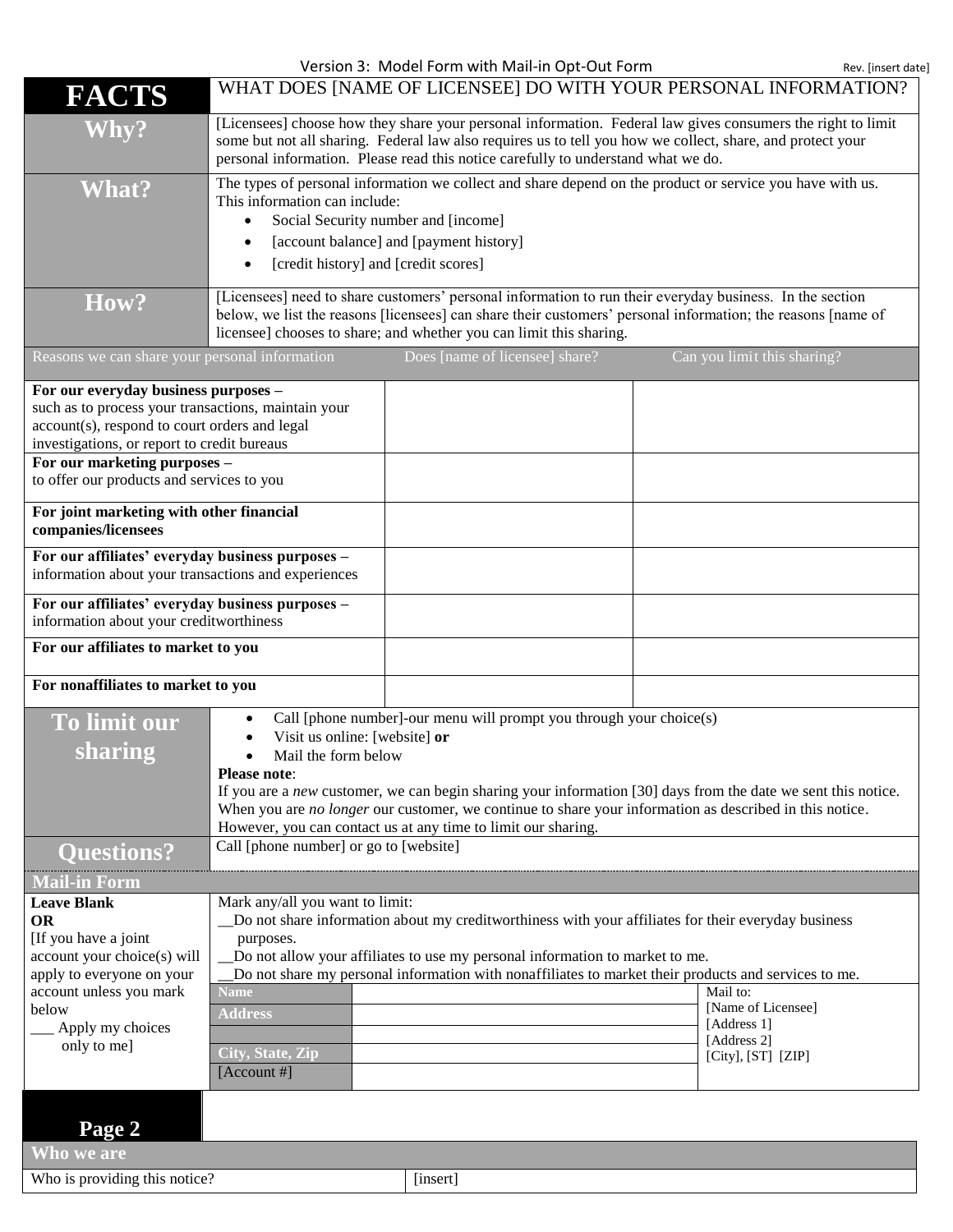Version 3: Model Form with Mail-in Opt-Out Form **Rev.** [insert date]

| FACTS                                                                                                                                                                                                                                                                    |                                                                                                                         |                                                                                                                                                                                                                                                                                             | WHAT DOES [NAME OF LICENSEE] DO WITH YOUR PERSONAL INFORMATION?                                               |
|--------------------------------------------------------------------------------------------------------------------------------------------------------------------------------------------------------------------------------------------------------------------------|-------------------------------------------------------------------------------------------------------------------------|---------------------------------------------------------------------------------------------------------------------------------------------------------------------------------------------------------------------------------------------------------------------------------------------|---------------------------------------------------------------------------------------------------------------|
| <b>Why?</b>                                                                                                                                                                                                                                                              |                                                                                                                         | some but not all sharing. Federal law also requires us to tell you how we collect, share, and protect your<br>personal information. Please read this notice carefully to understand what we do.                                                                                             | [Licensees] choose how they share your personal information. Federal law gives consumers the right to limit   |
| <b>What?</b>                                                                                                                                                                                                                                                             | This information can include:<br>$\bullet$<br>$\bullet$<br>[credit history] and [credit scores]<br>$\bullet$            | Social Security number and [income]<br>[account balance] and [payment history]                                                                                                                                                                                                              | The types of personal information we collect and share depend on the product or service you have with us.     |
| <b>How?</b>                                                                                                                                                                                                                                                              |                                                                                                                         | [Licensees] need to share customers' personal information to run their everyday business. In the section<br>licensee] chooses to share; and whether you can limit this sharing.                                                                                                             | below, we list the reasons [licensees] can share their customers' personal information; the reasons [name of  |
| Reasons we can share your personal information                                                                                                                                                                                                                           |                                                                                                                         | Does [name of licensee] share?                                                                                                                                                                                                                                                              | Can you limit this sharing?                                                                                   |
| For our everyday business purposes -<br>such as to process your transactions, maintain your<br>account(s), respond to court orders and legal<br>investigations, or report to credit bureaus<br>For our marketing purposes -<br>to offer our products and services to you |                                                                                                                         |                                                                                                                                                                                                                                                                                             |                                                                                                               |
| For joint marketing with other financial<br>companies/licensees                                                                                                                                                                                                          |                                                                                                                         |                                                                                                                                                                                                                                                                                             |                                                                                                               |
| For our affiliates' everyday business purposes -<br>information about your transactions and experiences                                                                                                                                                                  |                                                                                                                         |                                                                                                                                                                                                                                                                                             |                                                                                                               |
| For our affiliates' everyday business purposes -<br>information about your creditworthiness                                                                                                                                                                              |                                                                                                                         |                                                                                                                                                                                                                                                                                             |                                                                                                               |
| For our affiliates to market to you                                                                                                                                                                                                                                      |                                                                                                                         |                                                                                                                                                                                                                                                                                             |                                                                                                               |
| For nonaffiliates to market to you                                                                                                                                                                                                                                       |                                                                                                                         |                                                                                                                                                                                                                                                                                             |                                                                                                               |
| To limit our<br>sharing                                                                                                                                                                                                                                                  | Visit us online: [website] or<br>Mail the form below<br><b>Please note:</b><br>Call [phone number] or go to [website]   | Call [phone number]-our menu will prompt you through your choice(s)<br>When you are no longer our customer, we continue to share your information as described in this notice.<br>However, you can contact us at any time to limit our sharing.                                             | If you are a new customer, we can begin sharing your information [30] days from the date we sent this notice. |
| <b>Questions?</b>                                                                                                                                                                                                                                                        |                                                                                                                         |                                                                                                                                                                                                                                                                                             |                                                                                                               |
| <b>Mail-in Form</b><br><b>Leave Blank</b><br><b>OR</b><br>[If you have a joint<br>account your choice(s) will<br>apply to everyone on your<br>account unless you mark<br>below<br>Apply my choices<br>only to me]                                                        | Mark any/all you want to limit:<br>purposes.<br><b>Name</b><br><b>Address</b><br><b>City, State, Zip</b><br>[Account #] | Do not share information about my creditworthiness with your affiliates for their everyday business<br>Do not allow your affiliates to use my personal information to market to me.<br>Do not share my personal information with nonaffiliates to market their products and services to me. | Mail to:<br>[Name of Licensee]<br>[Address 1]<br>[Address 2]<br>[City], $[ST]$ $[ZIP]$                        |
| Page 2<br>Who we are                                                                                                                                                                                                                                                     |                                                                                                                         |                                                                                                                                                                                                                                                                                             |                                                                                                               |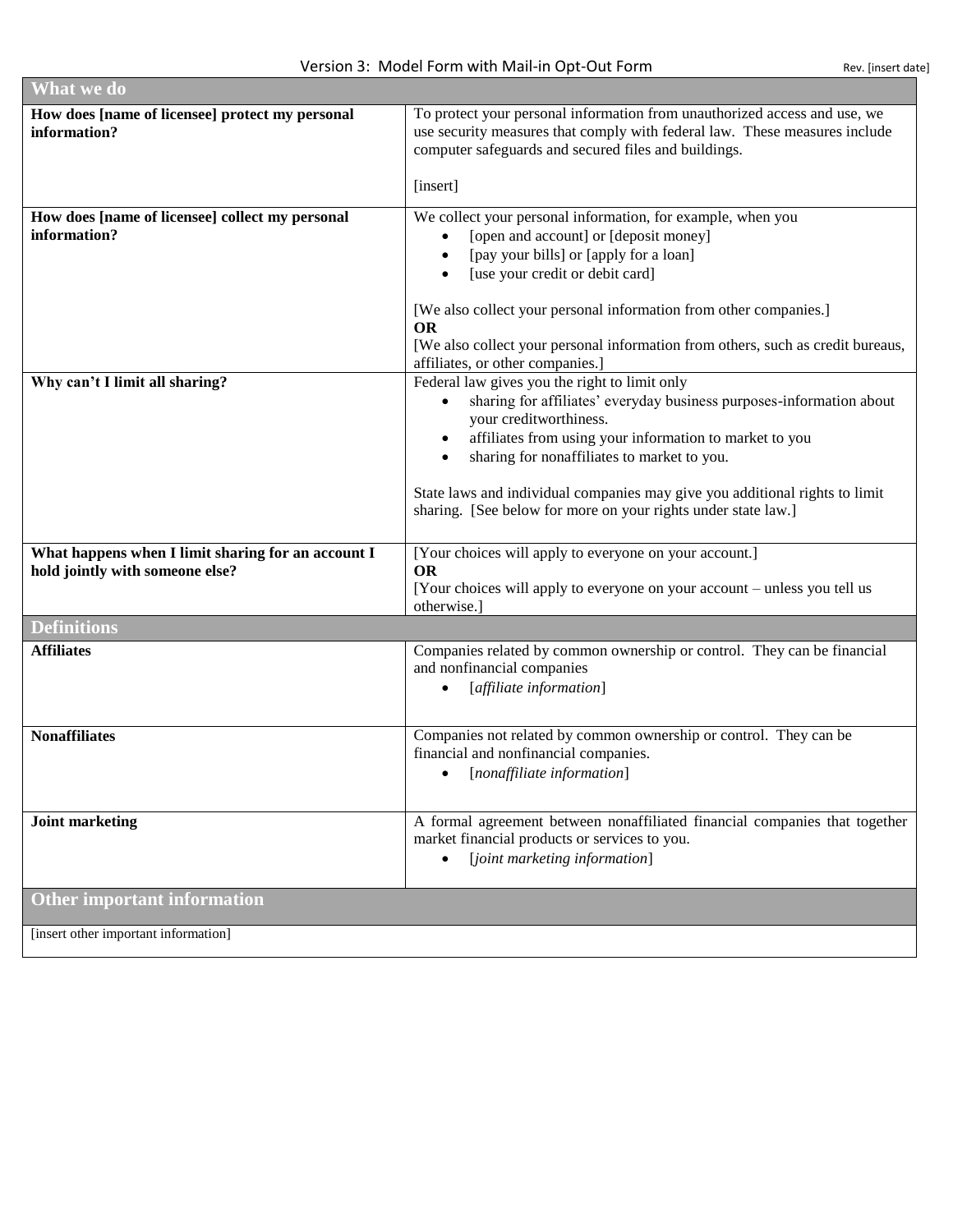п

| <b>What we do</b>                                                                     |                                                                                                                                                                                                                                                                                                                                                                                                           |
|---------------------------------------------------------------------------------------|-----------------------------------------------------------------------------------------------------------------------------------------------------------------------------------------------------------------------------------------------------------------------------------------------------------------------------------------------------------------------------------------------------------|
| How does [name of licensee] protect my personal<br>information?                       | To protect your personal information from unauthorized access and use, we<br>use security measures that comply with federal law. These measures include<br>computer safeguards and secured files and buildings.<br>[insert]                                                                                                                                                                               |
| How does [name of licensee] collect my personal<br>information?                       | We collect your personal information, for example, when you<br>[open and account] or [deposit money]<br>[pay your bills] or [apply for a loan]<br>[use your credit or debit card]<br>[We also collect your personal information from other companies.]<br><b>OR</b><br>[We also collect your personal information from others, such as credit bureaus,<br>affiliates, or other companies.]                |
| Why can't I limit all sharing?                                                        | Federal law gives you the right to limit only<br>sharing for affiliates' everyday business purposes-information about<br>your creditworthiness.<br>affiliates from using your information to market to you<br>sharing for nonaffiliates to market to you.<br>State laws and individual companies may give you additional rights to limit<br>sharing. [See below for more on your rights under state law.] |
| What happens when I limit sharing for an account I<br>hold jointly with someone else? | [Your choices will apply to everyone on your account.]<br><b>OR</b><br>[Your choices will apply to everyone on your account – unless you tell us<br>otherwise.]                                                                                                                                                                                                                                           |
| <b>Definitions</b>                                                                    |                                                                                                                                                                                                                                                                                                                                                                                                           |
| <b>Affiliates</b>                                                                     | Companies related by common ownership or control. They can be financial<br>and nonfinancial companies<br>[affiliate information]                                                                                                                                                                                                                                                                          |
| <b>Nonaffiliates</b>                                                                  | Companies not related by common ownership or control. They can be<br>financial and nonfinancial companies.<br>[nonaffiliate information]<br>$\bullet$                                                                                                                                                                                                                                                     |
| <b>Joint marketing</b>                                                                | A formal agreement between nonaffiliated financial companies that together<br>market financial products or services to you.<br>[joint marketing information]                                                                                                                                                                                                                                              |
| <b>Other important information</b>                                                    |                                                                                                                                                                                                                                                                                                                                                                                                           |
| [insert other important information]                                                  |                                                                                                                                                                                                                                                                                                                                                                                                           |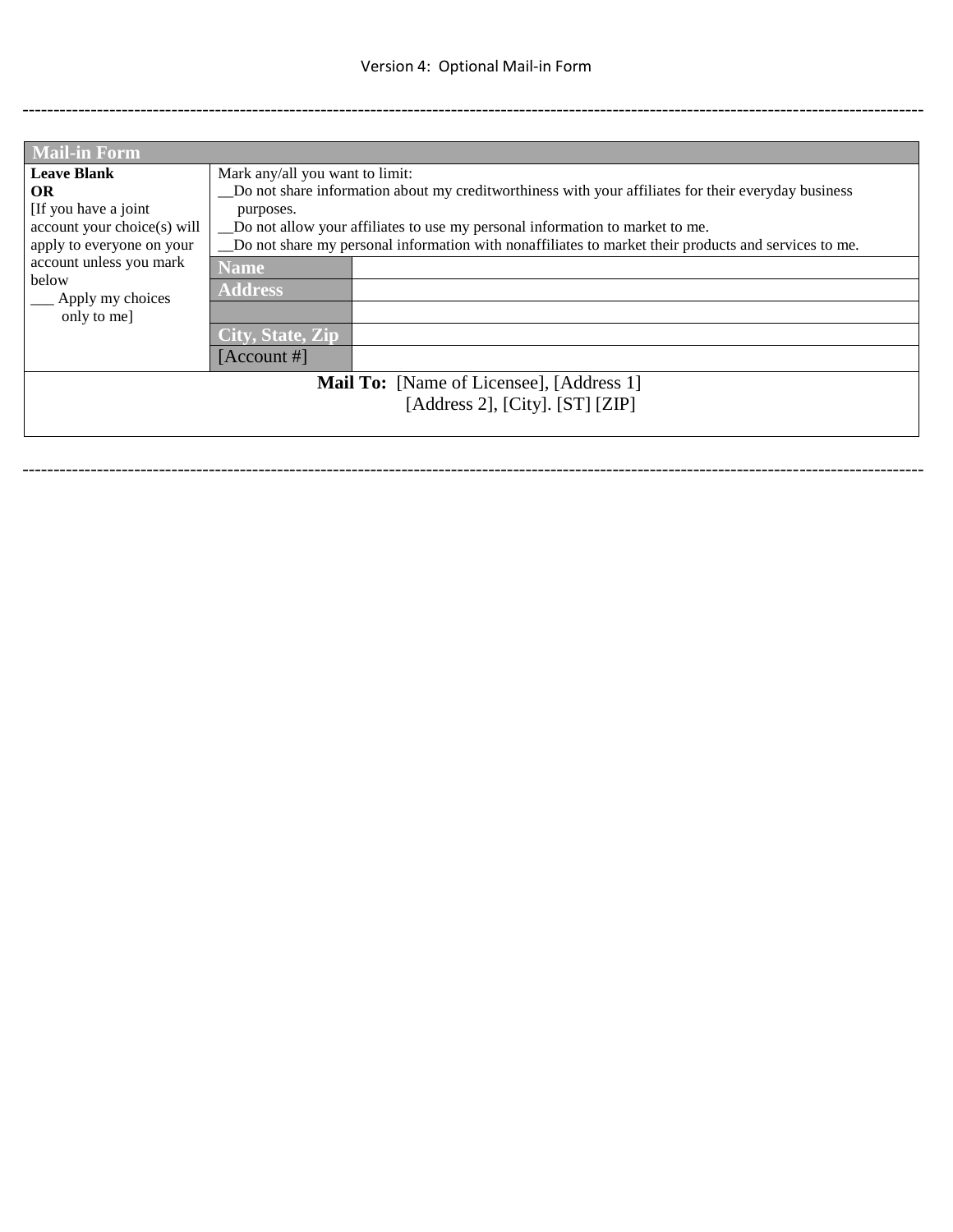-------------------------------------------------------------------------------------------------------------------------------------------------

| <b>Mail-in Form</b>         |                                                                                                      |  |
|-----------------------------|------------------------------------------------------------------------------------------------------|--|
| <b>Leave Blank</b>          | Mark any/all you want to limit:                                                                      |  |
| OR                          | Do not share information about my credit worthings with your affiliates for their everyday business  |  |
| [If you have a joint]       | purposes.                                                                                            |  |
| account your choice(s) will | Do not allow your affiliates to use my personal information to market to me.                         |  |
| apply to everyone on your   | Do not share my personal information with nonaffiliates to market their products and services to me. |  |
| account unless you mark     | Name                                                                                                 |  |
| below                       | <b>Address</b>                                                                                       |  |
| Apply my choices            |                                                                                                      |  |
| only to me]                 |                                                                                                      |  |
|                             | City, State, Zip                                                                                     |  |
|                             | [Account #]                                                                                          |  |
|                             | <b>Mail To:</b> [Name of Licensee], [Address 1]                                                      |  |
|                             | [Address 2], [City]. $[ST]$ $[ZIP]$                                                                  |  |
|                             |                                                                                                      |  |
|                             |                                                                                                      |  |

-------------------------------------------------------------------------------------------------------------------------------------------------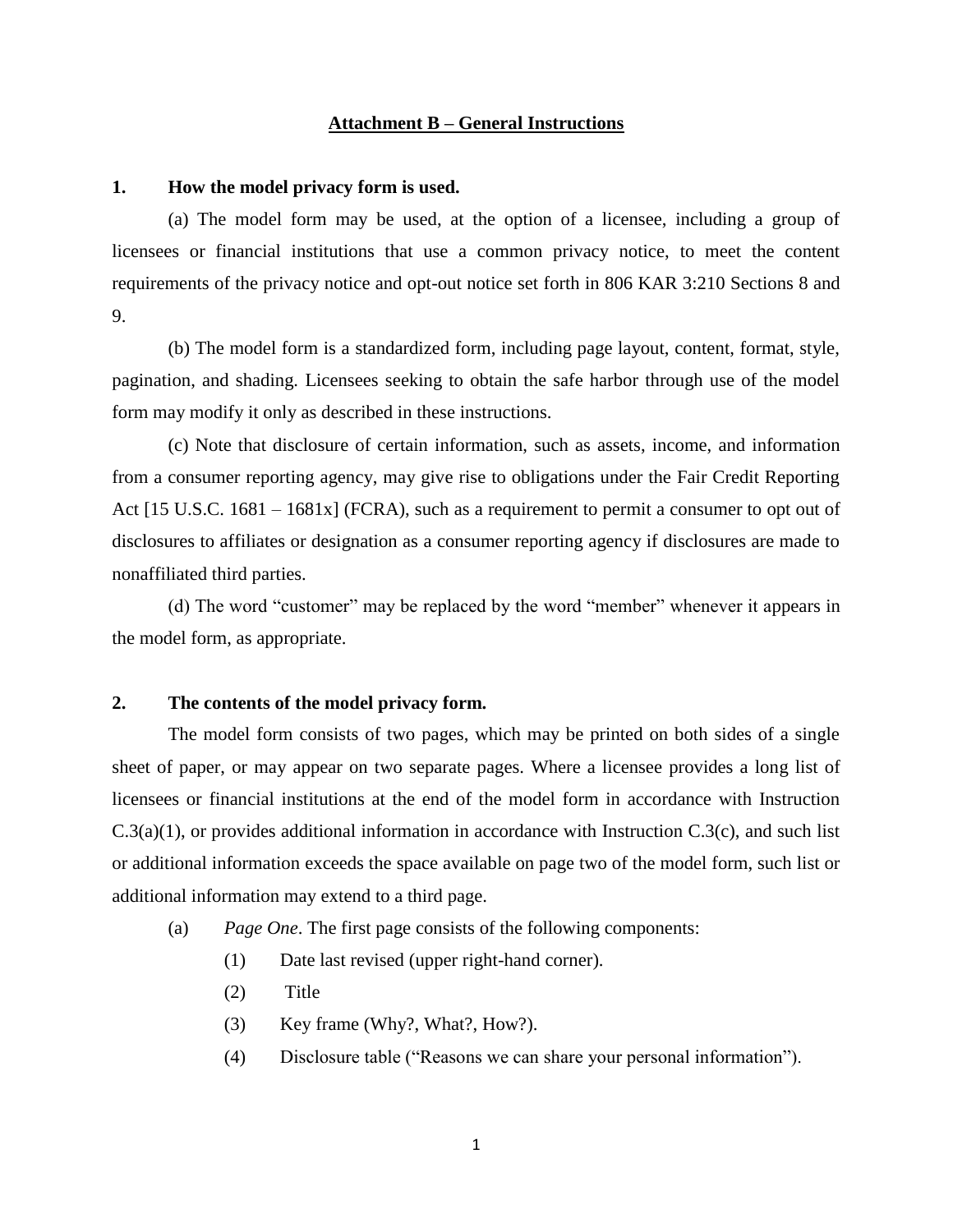#### **Attachment B – General Instructions**

#### **1. How the model privacy form is used.**

(a) The model form may be used, at the option of a licensee, including a group of licensees or financial institutions that use a common privacy notice, to meet the content requirements of the privacy notice and opt-out notice set forth in 806 KAR 3:210 Sections 8 and 9.

(b) The model form is a standardized form, including page layout, content, format, style, pagination, and shading. Licensees seeking to obtain the safe harbor through use of the model form may modify it only as described in these instructions.

(c) Note that disclosure of certain information, such as assets, income, and information from a consumer reporting agency, may give rise to obligations under the Fair Credit Reporting Act [15 U.S.C. 1681 – 1681x] (FCRA), such as a requirement to permit a consumer to opt out of disclosures to affiliates or designation as a consumer reporting agency if disclosures are made to nonaffiliated third parties.

(d) The word "customer" may be replaced by the word "member" whenever it appears in the model form, as appropriate.

### **2. The contents of the model privacy form.**

The model form consists of two pages, which may be printed on both sides of a single sheet of paper, or may appear on two separate pages. Where a licensee provides a long list of licensees or financial institutions at the end of the model form in accordance with Instruction C.3(a)(1), or provides additional information in accordance with Instruction C.3(c), and such list or additional information exceeds the space available on page two of the model form, such list or additional information may extend to a third page.

- (a) *Page One*. The first page consists of the following components:
	- (1) Date last revised (upper right-hand corner).
	- (2) Title
	- (3) Key frame (Why?, What?, How?).
	- (4) Disclosure table ("Reasons we can share your personal information").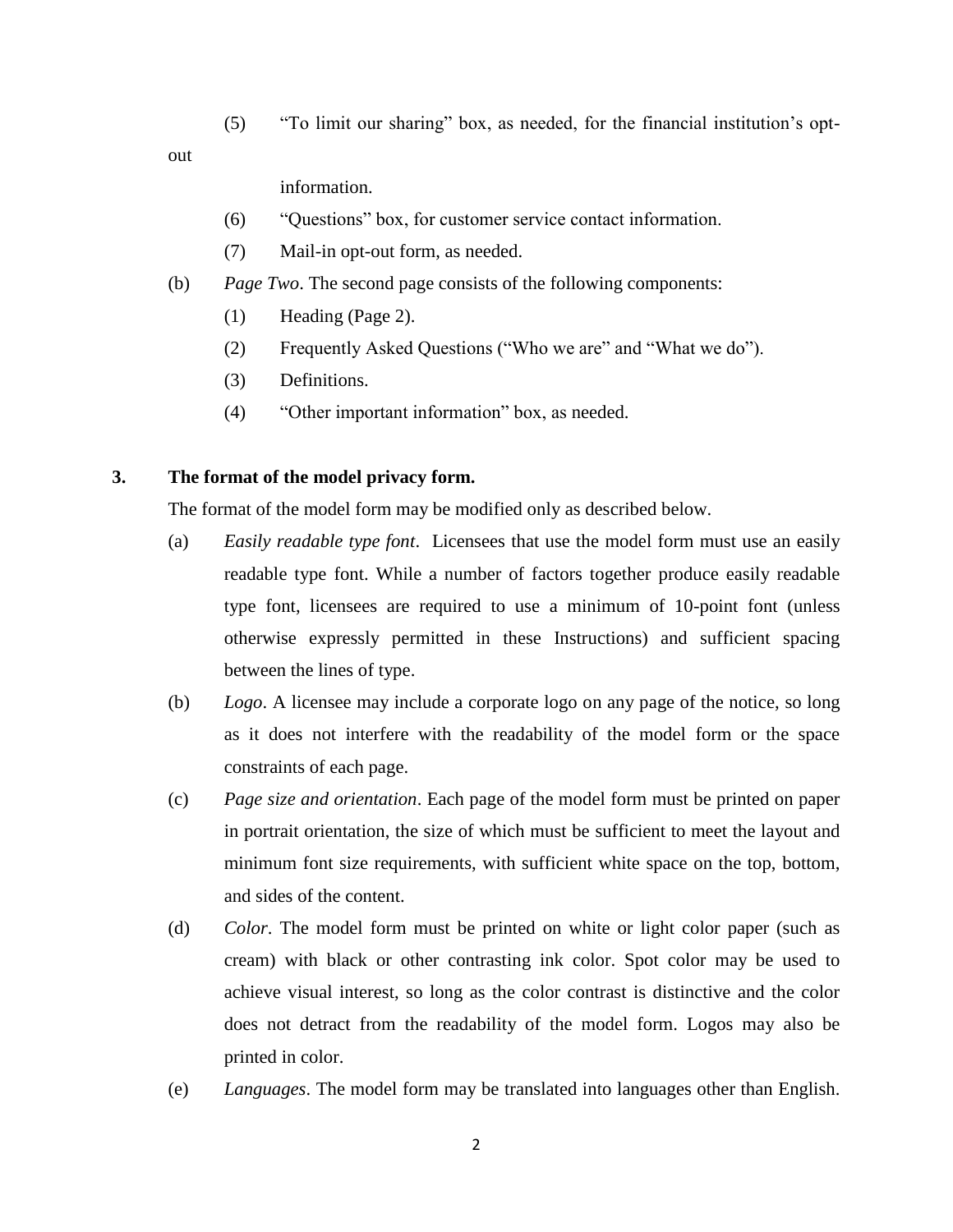(5) "To limit our sharing" box, as needed, for the financial institution's opt-

out

information.

- (6) "Questions" box, for customer service contact information.
- (7) Mail-in opt-out form, as needed.
- (b) *Page Two*. The second page consists of the following components:
	- (1) Heading (Page 2).
	- (2) Frequently Asked Questions ("Who we are" and "What we do").
	- (3) Definitions.
	- (4) "Other important information" box, as needed.

#### **3. The format of the model privacy form.**

The format of the model form may be modified only as described below.

- (a) *Easily readable type font*. Licensees that use the model form must use an easily readable type font. While a number of factors together produce easily readable type font, licensees are required to use a minimum of 10-point font (unless otherwise expressly permitted in these Instructions) and sufficient spacing between the lines of type.
- (b) *Logo*. A licensee may include a corporate logo on any page of the notice, so long as it does not interfere with the readability of the model form or the space constraints of each page.
- (c) *Page size and orientation*. Each page of the model form must be printed on paper in portrait orientation, the size of which must be sufficient to meet the layout and minimum font size requirements, with sufficient white space on the top, bottom, and sides of the content.
- (d) *Color*. The model form must be printed on white or light color paper (such as cream) with black or other contrasting ink color. Spot color may be used to achieve visual interest, so long as the color contrast is distinctive and the color does not detract from the readability of the model form. Logos may also be printed in color.
- (e) *Languages*. The model form may be translated into languages other than English.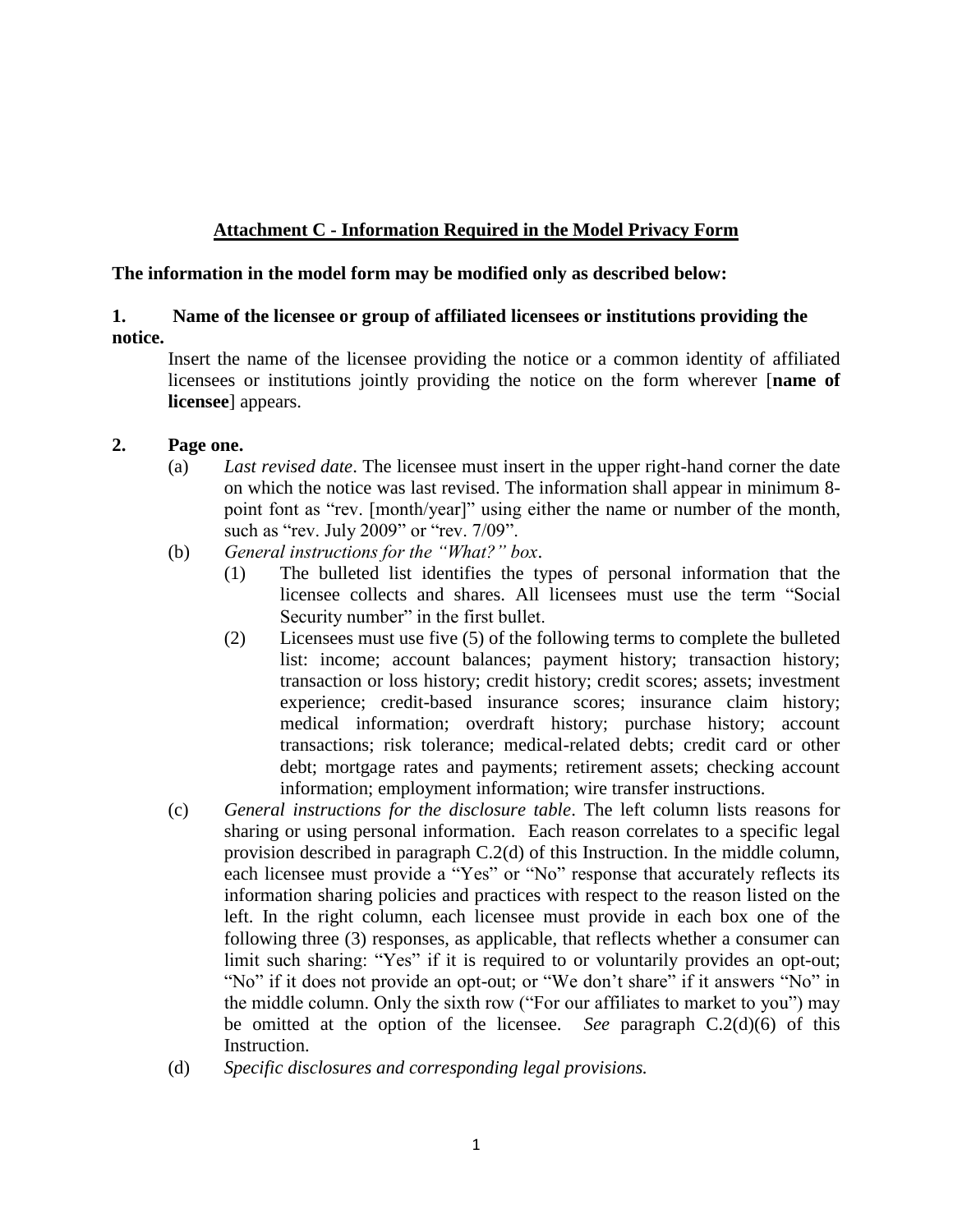# **Attachment C - Information Required in the Model Privacy Form**

### **The information in the model form may be modified only as described below:**

# **1. Name of the licensee or group of affiliated licensees or institutions providing the notice.**

Insert the name of the licensee providing the notice or a common identity of affiliated licensees or institutions jointly providing the notice on the form wherever [**name of licensee**] appears.

### **2. Page one.**

- (a) *Last revised date*. The licensee must insert in the upper right-hand corner the date on which the notice was last revised. The information shall appear in minimum 8 point font as "rev. [month/year]" using either the name or number of the month, such as "rev. July 2009" or "rev. 7/09".
- (b) *General instructions for the "What?" box*.
	- (1) The bulleted list identifies the types of personal information that the licensee collects and shares. All licensees must use the term "Social Security number" in the first bullet.
	- (2) Licensees must use five (5) of the following terms to complete the bulleted list: income; account balances; payment history; transaction history; transaction or loss history; credit history; credit scores; assets; investment experience; credit-based insurance scores; insurance claim history; medical information; overdraft history; purchase history; account transactions; risk tolerance; medical-related debts; credit card or other debt; mortgage rates and payments; retirement assets; checking account information; employment information; wire transfer instructions.
- (c) *General instructions for the disclosure table*. The left column lists reasons for sharing or using personal information. Each reason correlates to a specific legal provision described in paragraph C.2(d) of this Instruction. In the middle column, each licensee must provide a "Yes" or "No" response that accurately reflects its information sharing policies and practices with respect to the reason listed on the left. In the right column, each licensee must provide in each box one of the following three (3) responses, as applicable, that reflects whether a consumer can limit such sharing: "Yes" if it is required to or voluntarily provides an opt-out; "No" if it does not provide an opt-out; or "We don't share" if it answers "No" in the middle column. Only the sixth row ("For our affiliates to market to you") may be omitted at the option of the licensee. *See* paragraph C.2(d)(6) of this Instruction.
- (d) *Specific disclosures and corresponding legal provisions.*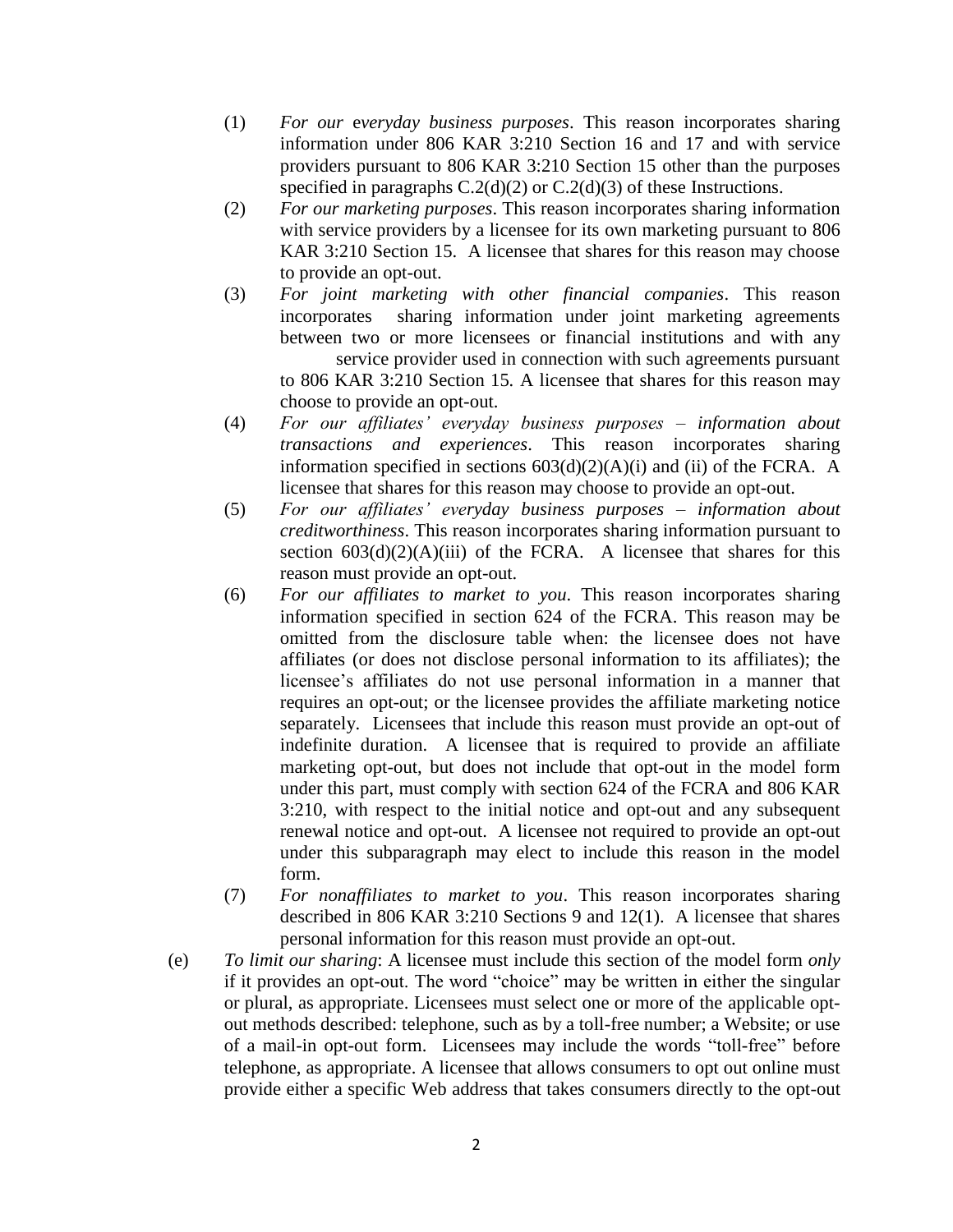- (1) *For our* e*veryday business purposes*. This reason incorporates sharing information under 806 KAR 3:210 Section 16 and 17 and with service providers pursuant to 806 KAR 3:210 Section 15 other than the purposes specified in paragraphs  $C.2(d)(2)$  or  $C.2(d)(3)$  of these Instructions.
- (2) *For our marketing purposes*. This reason incorporates sharing information with service providers by a licensee for its own marketing pursuant to 806 KAR 3:210 Section 15. A licensee that shares for this reason may choose to provide an opt-out.
- (3) *For joint marketing with other financial companies*. This reason incorporates sharing information under joint marketing agreements between two or more licensees or financial institutions and with any service provider used in connection with such agreements pursuant to 806 KAR 3:210 Section 15*.* A licensee that shares for this reason may choose to provide an opt-out.
- (4) *For our affiliates' everyday business purposes – information about transactions and experiences*. This reason incorporates sharing information specified in sections  $603(d)(2)(A)(i)$  and (ii) of the FCRA. A licensee that shares for this reason may choose to provide an opt-out.
- (5) *For our affiliates' everyday business purposes – information about creditworthiness*. This reason incorporates sharing information pursuant to section  $603(d)(2)(A)(iii)$  of the FCRA. A licensee that shares for this reason must provide an opt-out.
- (6) *For our affiliates to market to you*. This reason incorporates sharing information specified in section 624 of the FCRA. This reason may be omitted from the disclosure table when: the licensee does not have affiliates (or does not disclose personal information to its affiliates); the licensee's affiliates do not use personal information in a manner that requires an opt-out; or the licensee provides the affiliate marketing notice separately. Licensees that include this reason must provide an opt-out of indefinite duration. A licensee that is required to provide an affiliate marketing opt-out, but does not include that opt-out in the model form under this part, must comply with section 624 of the FCRA and 806 KAR 3:210, with respect to the initial notice and opt-out and any subsequent renewal notice and opt-out. A licensee not required to provide an opt-out under this subparagraph may elect to include this reason in the model form.
- (7) *For nonaffiliates to market to you*. This reason incorporates sharing described in 806 KAR 3:210 Sections 9 and 12(1). A licensee that shares personal information for this reason must provide an opt-out.
- (e) *To limit our sharing*: A licensee must include this section of the model form *only*  if it provides an opt-out. The word "choice" may be written in either the singular or plural, as appropriate. Licensees must select one or more of the applicable optout methods described: telephone, such as by a toll-free number; a Website; or use of a mail-in opt-out form. Licensees may include the words "toll-free" before telephone, as appropriate. A licensee that allows consumers to opt out online must provide either a specific Web address that takes consumers directly to the opt-out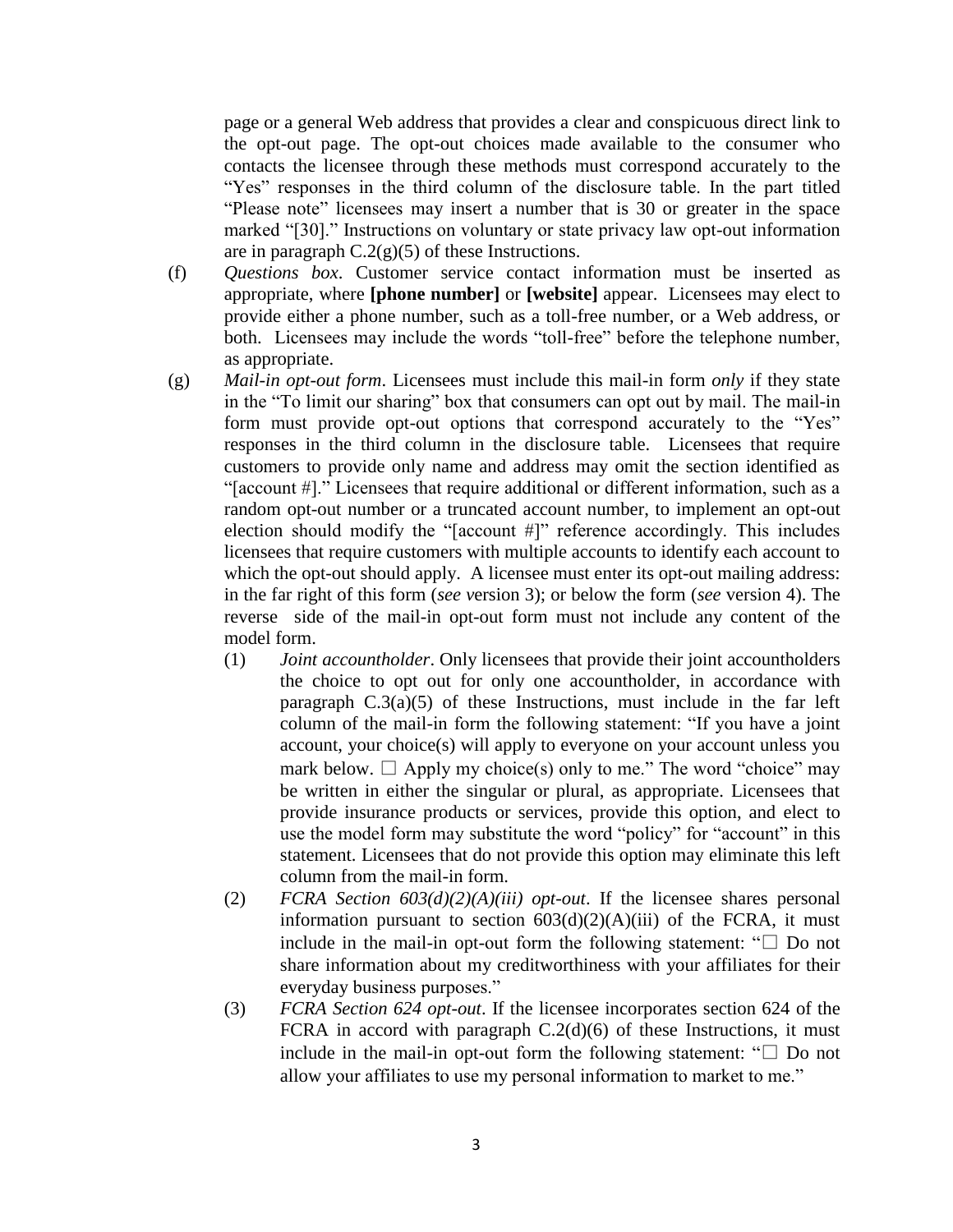page or a general Web address that provides a clear and conspicuous direct link to the opt-out page. The opt-out choices made available to the consumer who contacts the licensee through these methods must correspond accurately to the "Yes" responses in the third column of the disclosure table. In the part titled "Please note" licensees may insert a number that is 30 or greater in the space marked "[30]." Instructions on voluntary or state privacy law opt-out information are in paragraph  $C.2(g)(5)$  of these Instructions.

- (f) *Questions box*. Customer service contact information must be inserted as appropriate, where **[phone number]** or **[website]** appear. Licensees may elect to provide either a phone number, such as a toll-free number, or a Web address, or both. Licensees may include the words "toll-free" before the telephone number, as appropriate.
- (g) *Mail-in opt-out form*. Licensees must include this mail-in form *only* if they state in the "To limit our sharing" box that consumers can opt out by mail. The mail-in form must provide opt-out options that correspond accurately to the "Yes" responses in the third column in the disclosure table. Licensees that require customers to provide only name and address may omit the section identified as "[account #]." Licensees that require additional or different information, such as a random opt-out number or a truncated account number, to implement an opt-out election should modify the "[account #]" reference accordingly. This includes licensees that require customers with multiple accounts to identify each account to which the opt-out should apply. A licensee must enter its opt-out mailing address: in the far right of this form (*see v*ersion 3); or below the form (*see* version 4). The reverse side of the mail-in opt-out form must not include any content of the model form.
	- (1) *Joint accountholder*. Only licensees that provide their joint accountholders the choice to opt out for only one accountholder, in accordance with paragraph  $C \cdot 3(a)(5)$  of these Instructions, must include in the far left column of the mail-in form the following statement: "If you have a joint account, your choice(s) will apply to everyone on your account unless you mark below.  $\Box$  Apply my choice(s) only to me." The word "choice" may be written in either the singular or plural, as appropriate. Licensees that provide insurance products or services, provide this option, and elect to use the model form may substitute the word "policy" for "account" in this statement. Licensees that do not provide this option may eliminate this left column from the mail-in form.
	- (2) *FCRA Section 603(d)(2)(A)(iii) opt-out*. If the licensee shares personal information pursuant to section  $603(d)(2)(A)(iii)$  of the FCRA, it must include in the mail-in opt-out form the following statement: " $\square$  Do not share information about my creditworthiness with your affiliates for their everyday business purposes."
	- (3) *FCRA Section 624 opt-out*. If the licensee incorporates section 624 of the FCRA in accord with paragraph  $C.2(d)(6)$  of these Instructions, it must include in the mail-in opt-out form the following statement: " $\square$  Do not allow your affiliates to use my personal information to market to me."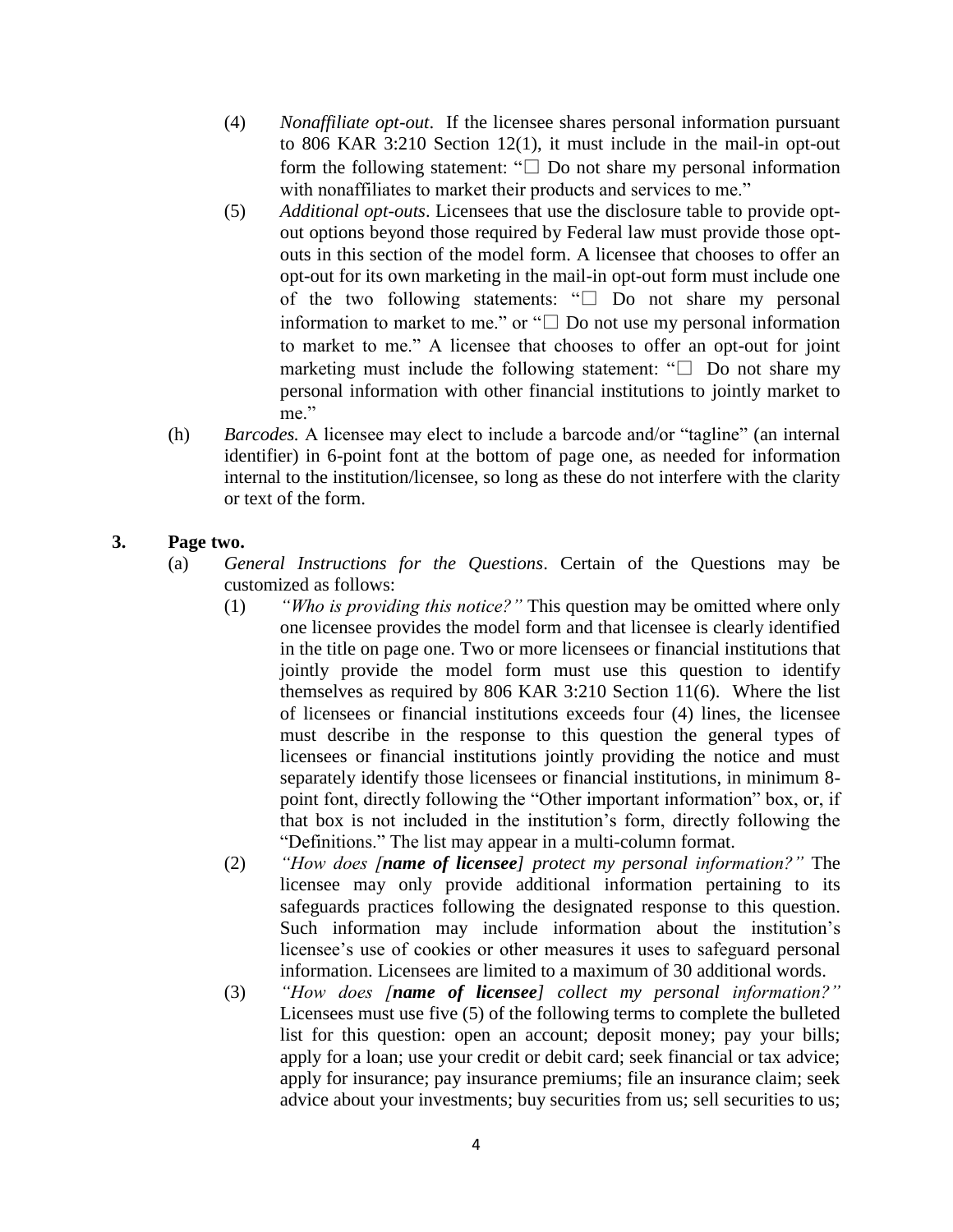- (4) *Nonaffiliate opt-out*. If the licensee shares personal information pursuant to 806 KAR 3:210 Section 12(1), it must include in the mail-in opt-out form the following statement: " $\square$  Do not share my personal information with nonaffiliates to market their products and services to me."
- (5) *Additional opt-outs*. Licensees that use the disclosure table to provide optout options beyond those required by Federal law must provide those optouts in this section of the model form. A licensee that chooses to offer an opt-out for its own marketing in the mail-in opt-out form must include one of the two following statements: "□ Do not share my personal information to market to me." or "□ Do not use my personal information to market to me." A licensee that chooses to offer an opt-out for joint marketing must include the following statement:  $" \Box$  Do not share my personal information with other financial institutions to jointly market to me."
- (h) *Barcodes.* A licensee may elect to include a barcode and/or "tagline" (an internal identifier) in 6-point font at the bottom of page one, as needed for information internal to the institution/licensee, so long as these do not interfere with the clarity or text of the form.

## **3. Page two.**

- (a) *General Instructions for the Questions*. Certain of the Questions may be customized as follows:
	- (1) *"Who is providing this notice?"* This question may be omitted where only one licensee provides the model form and that licensee is clearly identified in the title on page one. Two or more licensees or financial institutions that jointly provide the model form must use this question to identify themselves as required by 806 KAR 3:210 Section 11(6). Where the list of licensees or financial institutions exceeds four (4) lines, the licensee must describe in the response to this question the general types of licensees or financial institutions jointly providing the notice and must separately identify those licensees or financial institutions, in minimum 8 point font, directly following the "Other important information" box, or, if that box is not included in the institution's form, directly following the "Definitions." The list may appear in a multi-column format.
	- (2) *"How does [name of licensee] protect my personal information?"* The licensee may only provide additional information pertaining to its safeguards practices following the designated response to this question. Such information may include information about the institution's licensee's use of cookies or other measures it uses to safeguard personal information. Licensees are limited to a maximum of 30 additional words.
	- (3) *"How does [name of licensee] collect my personal information?"* Licensees must use five (5) of the following terms to complete the bulleted list for this question: open an account; deposit money; pay your bills; apply for a loan; use your credit or debit card; seek financial or tax advice; apply for insurance; pay insurance premiums; file an insurance claim; seek advice about your investments; buy securities from us; sell securities to us;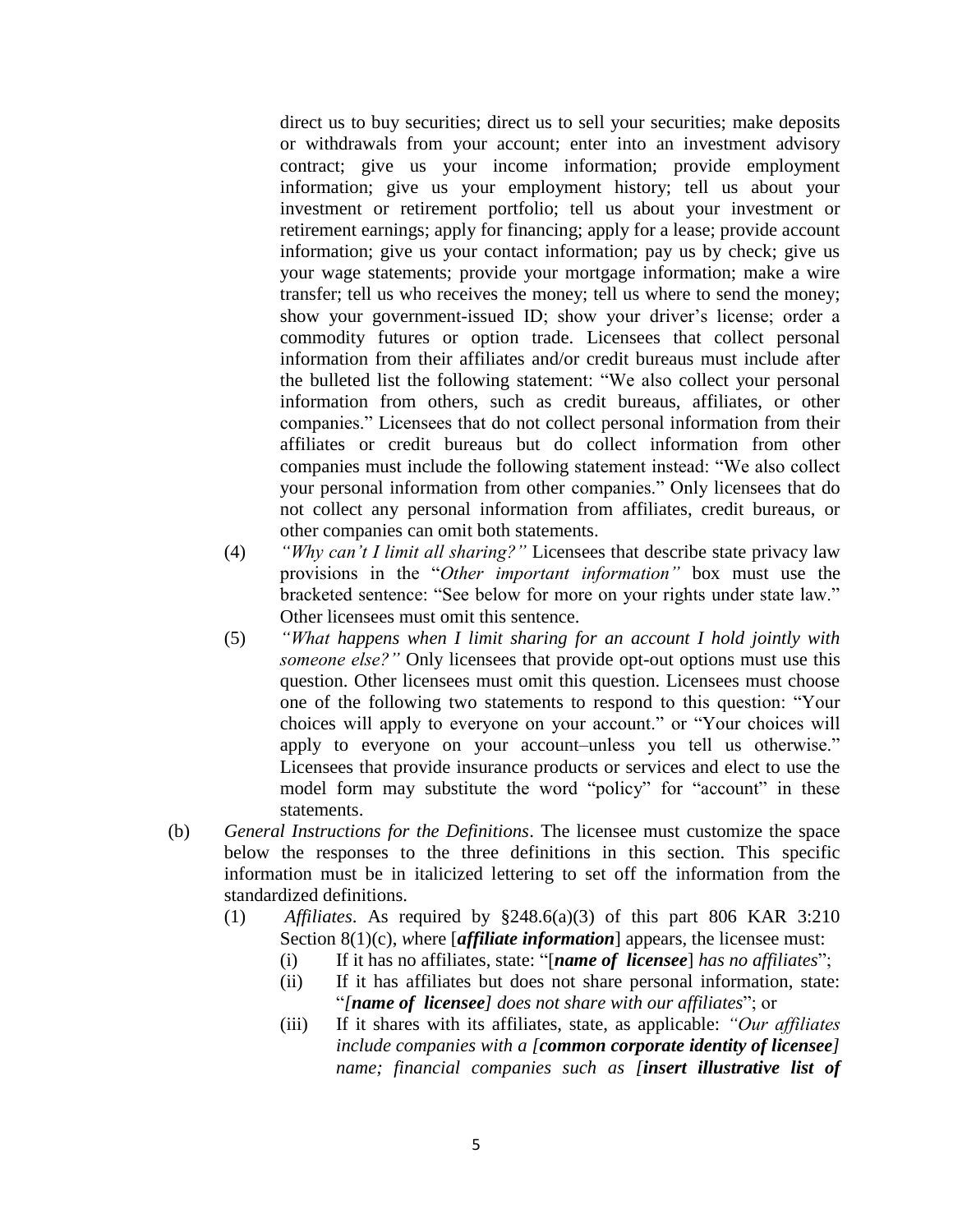direct us to buy securities; direct us to sell your securities; make deposits or withdrawals from your account; enter into an investment advisory contract; give us your income information; provide employment information; give us your employment history; tell us about your investment or retirement portfolio; tell us about your investment or retirement earnings; apply for financing; apply for a lease; provide account information; give us your contact information; pay us by check; give us your wage statements; provide your mortgage information; make a wire transfer; tell us who receives the money; tell us where to send the money; show your government-issued ID; show your driver's license; order a commodity futures or option trade. Licensees that collect personal information from their affiliates and/or credit bureaus must include after the bulleted list the following statement: "We also collect your personal information from others, such as credit bureaus, affiliates, or other companies." Licensees that do not collect personal information from their affiliates or credit bureaus but do collect information from other companies must include the following statement instead: "We also collect your personal information from other companies." Only licensees that do not collect any personal information from affiliates, credit bureaus, or other companies can omit both statements.

- (4) *"Why can't I limit all sharing?"* Licensees that describe state privacy law provisions in the "*Other important information"* box must use the bracketed sentence: "See below for more on your rights under state law." Other licensees must omit this sentence.
- (5) *"What happens when I limit sharing for an account I hold jointly with someone else?"* Only licensees that provide opt-out options must use this question. Other licensees must omit this question. Licensees must choose one of the following two statements to respond to this question: "Your choices will apply to everyone on your account." or "Your choices will apply to everyone on your account–unless you tell us otherwise." Licensees that provide insurance products or services and elect to use the model form may substitute the word "policy" for "account" in these statements.
- (b) *General Instructions for the Definitions*. The licensee must customize the space below the responses to the three definitions in this section. This specific information must be in italicized lettering to set off the information from the standardized definitions.
	- (1) *Affiliates*. As required by §248.6(a)(3) of this part 806 KAR 3:210 Section 8(1)(c), *w*here [*affiliate information*] appears, the licensee must:
		- (i) If it has no affiliates, state: "[*name of licensee*] *has no affiliates*";
		- (ii) If it has affiliates but does not share personal information, state: "*[name of licensee] does not share with our affiliates*"; or
		- (iii) If it shares with its affiliates, state, as applicable: *"Our affiliates include companies with a [common corporate identity of licensee] name; financial companies such as [insert illustrative list of*